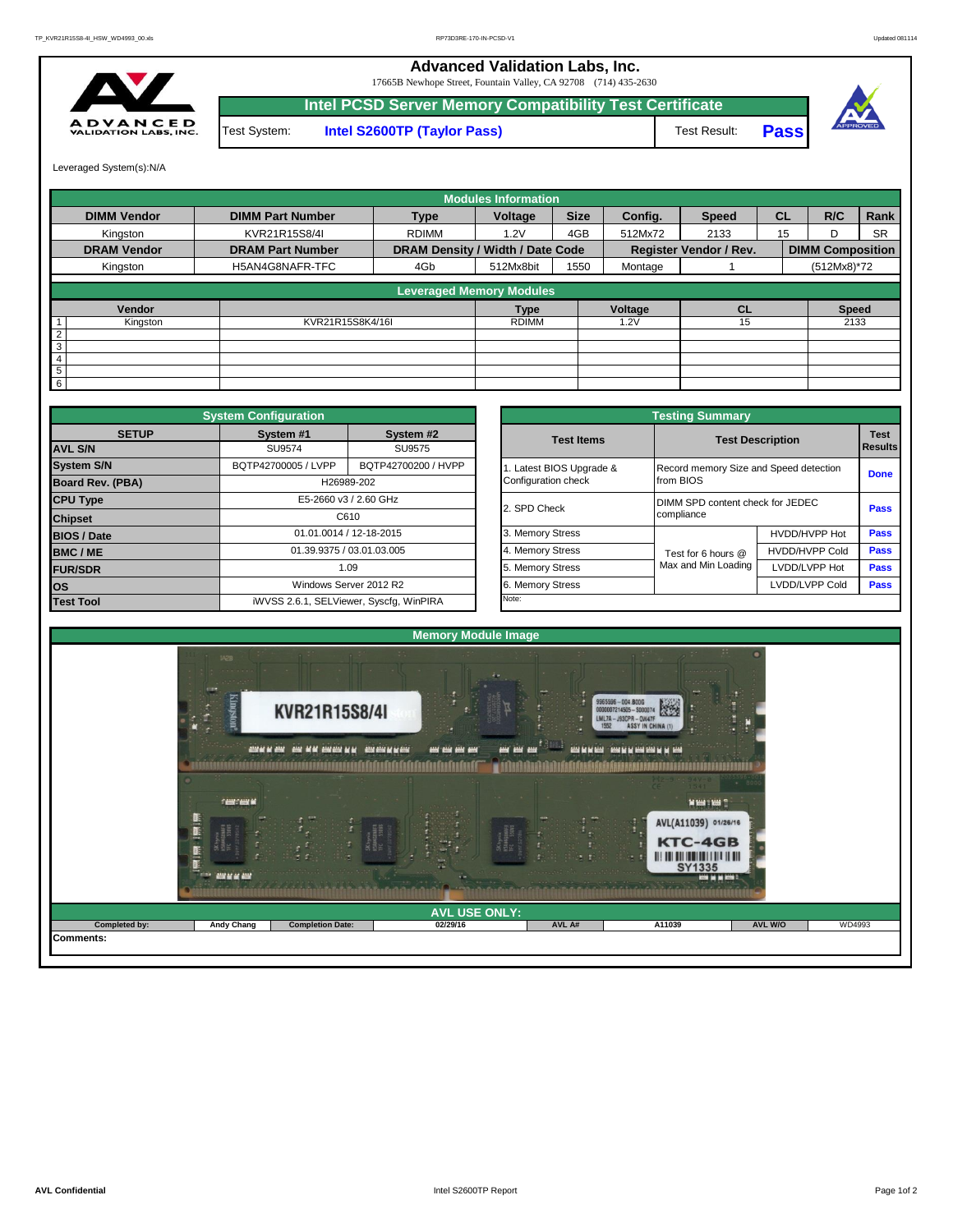## **Advanced Validation Labs, Inc.**

17665B Newhope Street, Fountain Valley, CA 92708 (714) 435-2630



**Intel PCSD Server Memory Compatibility Test Certificate Pass** Test System: **Intel S2600TP (Taylor Pass)** Test Result:



Leveraged System(s):N/A

|                    |                         |                                  | <b>Modules Information</b> |             |         |                               |           |                         |           |
|--------------------|-------------------------|----------------------------------|----------------------------|-------------|---------|-------------------------------|-----------|-------------------------|-----------|
| <b>DIMM Vendor</b> | <b>DIMM Part Number</b> | <b>Type</b>                      | Voltage                    | <b>Size</b> | Config. | <b>Speed</b>                  | <b>CL</b> | R/C                     | Rank      |
| Kingston           | KVR21R15S8/4I           | <b>RDIMM</b>                     | 1.2V                       | 4GB         | 512Mx72 | 2133                          | 15        | D                       | <b>SR</b> |
| <b>DRAM Vendor</b> | <b>DRAM Part Number</b> | DRAM Density / Width / Date Code |                            |             |         | <b>Register Vendor / Rev.</b> |           | <b>DIMM Composition</b> |           |
| Kingston           | H5AN4G8NAFR-TFC         | 4Gb                              | 512Mx8bit                  | 1550        | Montage |                               |           | (512Mx8)*72             |           |
|                    |                         | <b>Leveraged Memory Modules</b>  |                            |             |         |                               |           |                         |           |
| Vendor             |                         |                                  | Type                       |             | Voltage | <b>CL</b>                     |           | <b>Speed</b>            |           |
| Kingston           | KVR21R15S8K4/16I        |                                  | <b>RDIMM</b>               |             | .2V     | 15                            |           | 2133                    |           |
| $\overline{2}$     |                         |                                  |                            |             |         |                               |           |                         |           |
| $\overline{3}$     |                         |                                  |                            |             |         |                               |           |                         |           |
| $\overline{4}$     |                         |                                  |                            |             |         |                               |           |                         |           |
|                    |                         |                                  |                            |             |         |                               |           |                         |           |
| 5<br>$6 \,$        |                         |                                  |                            |             |         |                               |           |                         |           |

|                    | <b>System Configuration</b>             |                           |  | <b>Testing Summary</b> |                                        |                                  |             |  |  |  |  |
|--------------------|-----------------------------------------|---------------------------|--|------------------------|----------------------------------------|----------------------------------|-------------|--|--|--|--|
| <b>SETUP</b>       | System #1                               | System #2                 |  | <b>Test Items</b>      |                                        | <b>Test Description</b>          | <b>Test</b> |  |  |  |  |
| <b>AVL S/N</b>     | SU9574                                  | SU9575                    |  |                        |                                        |                                  |             |  |  |  |  |
| <b>System S/N</b>  | BQTP42700005 / LVPP                     | BQTP42700200 / HVPP       |  | Latest BIOS Upgrade &  | Record memory Size and Speed detection |                                  | <b>Done</b> |  |  |  |  |
| Board Rev. (PBA)   |                                         | H26989-202                |  | Configuration check    | from BIOS                              |                                  |             |  |  |  |  |
| <b>CPU Type</b>    |                                         | E5-2660 v3 / 2.60 GHz     |  | 2. SPD Check           |                                        | DIMM SPD content check for JEDEC |             |  |  |  |  |
| <b>Chipset</b>     |                                         | C610                      |  |                        | compliance                             |                                  |             |  |  |  |  |
| <b>BIOS / Date</b> |                                         | 01.01.0014 / 12-18-2015   |  | 3. Memory Stress       |                                        | HVDD/HVPP Hot                    | <b>Pass</b> |  |  |  |  |
| BMC/ME             |                                         | 01.39.9375 / 03.01.03.005 |  | 4. Memory Stress       | Test for 6 hours @                     | <b>HVDD/HVPP Cold</b>            | <b>Pass</b> |  |  |  |  |
| <b>FUR/SDR</b>     |                                         | 1.09                      |  | 5. Memory Stress       | Max and Min Loading                    | LVDD/LVPP Hot                    | Pass        |  |  |  |  |
| los                |                                         | Windows Server 2012 R2    |  | 6. Memory Stress       |                                        | LVDD/LVPP Cold                   | Pass        |  |  |  |  |
| <b>Test Tool</b>   | iWVSS 2.6.1, SELViewer, Syscfq, WinPIRA |                           |  | Note:                  |                                        |                                  |             |  |  |  |  |

|              | <b>System Configuration</b>             |                           |                       | <b>Testing Summary</b>                 |                                          |                               |  |  |  |
|--------------|-----------------------------------------|---------------------------|-----------------------|----------------------------------------|------------------------------------------|-------------------------------|--|--|--|
| <b>SETUP</b> | System #1<br>SU9574                     | System #2<br>SU9575       | <b>Test Items</b>     | <b>Test Description</b>                |                                          | <b>Test</b><br><b>Results</b> |  |  |  |
|              | BQTP42700005 / LVPP                     | BQTP42700200 / HVPP       | Latest BIOS Upgrade & | Record memory Size and Speed detection |                                          |                               |  |  |  |
| PBA)         | H26989-202                              |                           | Configuration check   | from BIOS                              |                                          |                               |  |  |  |
|              |                                         | E5-2660 v3 / 2.60 GHz     | 2. SPD Check          |                                        | DIMM SPD content check for JEDEC<br>Pass |                               |  |  |  |
|              |                                         | C610                      |                       | compliance                             |                                          |                               |  |  |  |
|              |                                         | 01.01.0014 / 12-18-2015   | 3. Memory Stress      |                                        | HVDD/HVPP Hot                            | Pass                          |  |  |  |
|              |                                         | 01.39.9375 / 03.01.03.005 | 4. Memory Stress      | Test for 6 hours @                     | <b>HVDD/HVPP Cold</b>                    | Pass                          |  |  |  |
|              |                                         | 1.09                      | 5. Memory Stress      | Max and Min Loading                    | LVDD/LVPP Hot                            | Pass                          |  |  |  |
|              |                                         | Windows Server 2012 R2    | 6. Memory Stress      |                                        | LVDD/LVPP Cold                           | Pass                          |  |  |  |
|              | iWVSS 2.6.1, SELViewer, Syscfg, WinPIRA |                           | Note:                 |                                        |                                          |                               |  |  |  |